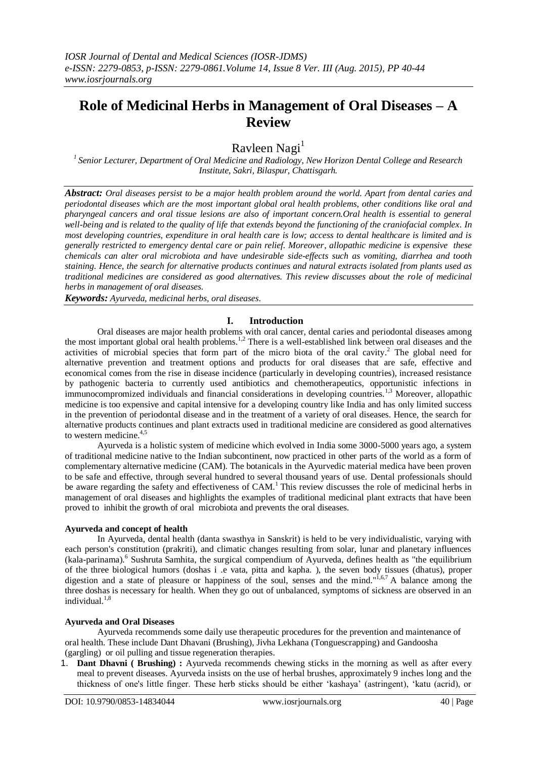# **Role of Medicinal Herbs in Management of Oral Diseases – A Review**

Ravleen Nagi<sup>1</sup>

*1 Senior Lecturer, Department of Oral Medicine and Radiology, New Horizon Dental College and Research Institute, Sakri, Bilaspur, Chattisgarh.*

*Abstract: Oral diseases persist to be a major health problem around the world. Apart from dental caries and periodontal diseases which are the most important global oral health problems, other conditions like oral and pharyngeal cancers and oral tissue lesions are also of important concern.Oral health is essential to general well-being and is related to the quality of life that extends beyond the functioning of the craniofacial complex. In most developing countries, expenditure in oral health care is low; access to dental healthcare is limited and is generally restricted to emergency dental care or pain relief. Moreover, allopathic medicine is expensive these chemicals can alter oral microbiota and have undesirable side-effects such as vomiting, diarrhea and tooth staining. Hence, the search for alternative products continues and natural extracts isolated from plants used as traditional medicines are considered as good alternatives. This review discusses about the role of medicinal herbs in management of oral diseases.*

*Keywords: Ayurveda, medicinal herbs, oral diseases.*

## **I. Introduction**

Oral diseases are major health problems with oral cancer, dental caries and periodontal diseases among the most important global oral health problems.<sup>1,2</sup> There is a well-established link between oral diseases and the activities of microbial species that form part of the micro biota of the oral cavity. <sup>2</sup> The global need for alternative prevention and treatment options and products for oral diseases that are safe, effective and economical comes from the rise in disease incidence (particularly in developing countries), increased resistance by pathogenic bacteria to currently used antibiotics and chemotherapeutics, opportunistic infections in immunocompromized individuals and financial considerations in developing countries.<sup>1,3</sup> Moreover, allopathic medicine is too expensive and capital intensive for a developing country like India and has only limited success in the prevention of periodontal disease and in the treatment of a variety of oral diseases. Hence, the search for alternative products continues and plant extracts used in traditional medicine are considered as good alternatives to western medicine. 4,5

Ayurveda is a holistic system of medicine which evolved in India some 3000-5000 years ago, a system of traditional medicine native to the Indian subcontinent, now practiced in other parts of the world as a form of complementary alternative medicine (CAM). The botanicals in the Ayurvedic material medica have been proven to be safe and effective, through several hundred to several thousand years of use. Dental professionals should be aware regarding the safety and effectiveness of CAM.<sup>1</sup> This review discusses the role of medicinal herbs in management of oral diseases and highlights the examples of traditional medicinal plant extracts that have been proved to inhibit the growth of oral microbiota and prevents the oral diseases.

#### **Ayurveda and concept of health**

In Ayurveda, dental health (danta swasthya in Sanskrit) is held to be very individualistic, varying with each person's constitution (prakriti), and climatic changes resulting from solar, lunar and planetary influences (kala-parinama).<sup>6</sup> Sushruta Samhita, the surgical compendium of Ayurveda, defines health as "the equilibrium of the three biological humors (doshas i .e vata, pitta and kapha. ), the seven body tissues (dhatus), proper digestion and a state of pleasure or happiness of the soul, senses and the mind."<sup>1,6,7</sup> A balance among the three doshas is necessary for health. When they go out of unbalanced, symptoms of sickness are observed in an individual. $1,8$ 

#### **Ayurveda and Oral Diseases**

Ayurveda recommends some daily use therapeutic procedures for the prevention and maintenance of oral health. These include Dant Dhavani (Brushing), Jivha Lekhana (Tonguescrapping) and Gandoosha (gargling) or oil pulling and tissue regeneration therapies.

1. **Dant Dhavni ( Brushing) :** Ayurveda recommends chewing sticks in the morning as well as after every meal to prevent diseases. Ayurveda insists on the use of herbal brushes, approximately 9 inches long and the thickness of one's little finger. These herb sticks should be either "kashaya" (astringent), "katu (acrid), or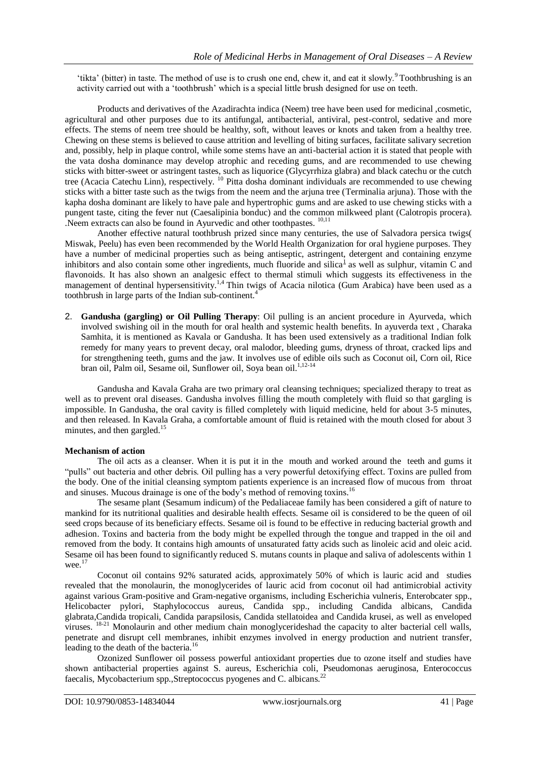'tikta' (bitter) in taste. The method of use is to crush one end, chew it, and eat it slowly.<sup>9</sup> Toothbrushing is an activity carried out with a "toothbrush" which is a special little brush designed for use on teeth.

Products and derivatives of the Azadirachta indica (Neem) tree have been used for medicinal ,cosmetic, agricultural and other purposes due to its antifungal, antibacterial, antiviral, pest-control, sedative and more effects. The stems of neem tree should be healthy, soft, without leaves or knots and taken from a healthy tree. Chewing on these stems is believed to cause attrition and levelling of biting surfaces, facilitate salivary secretion and, possibly, help in plaque control, while some stems have an anti-bacterial action it is stated that people with the vata dosha dominance may develop atrophic and receding gums, and are recommended to use chewing sticks with bitter-sweet or astringent tastes, such as liquorice (Glycyrrhiza glabra) and black catechu or the cutch tree (Acacia Catechu Linn), respectively. <sup>10</sup> Pitta dosha dominant individuals are recommended to use chewing sticks with a bitter taste such as the twigs from the neem and the arjuna tree (Terminalia arjuna). Those with the kapha dosha dominant are likely to have pale and hypertrophic gums and are asked to use chewing sticks with a pungent taste, citing the fever nut (Caesalipinia bonduc) and the common milkweed plant (Calotropis procera). .Neem extracts can also be found in Ayurvedic and other toothpastes. 10,11

Another effective natural toothbrush prized since many centuries, the use of Salvadora persica twigs( Miswak, Peelu) has even been recommended by the World Health Organization for oral hygiene purposes. They have a number of medicinal properties such as being antiseptic, astringent, detergent and containing enzyme inhibitors [a](http://www.healingteethnaturally.com/natural-toothbrush-alternatives-neem-peelu-miswak.html#1)nd also contain some other ingredients, much fluoride and silica<sup>1</sup> as well as sulphur, vitamin C and flavonoids. It has also shown an analgesic effect to thermal stimuli which suggests its effectiveness in the management of dentinal hypersensitivity.<sup>1,4</sup> Thin twigs of Acacia nilotica (Gum Arabica) have been used as a toothbrush in large parts of the Indian sub-continent.<sup>4</sup>

2. **Gandusha (gargling) or Oil Pulling Therapy**: Oil pulling is an ancient procedure in Ayurveda, which involved swishing oil in the mouth for oral health and systemic health benefits. In ayuverda text , Charaka Samhita, it is mentioned as Kavala or Gandusha. It has been used extensively as a traditional Indian folk remedy for many years to prevent decay, oral malodor, bleeding gums, dryness of throat, cracked lips and for strengthening teeth, gums and the jaw. It involves use of edible oils such as Coconut oil, Corn oil, Rice bran oil, Palm oil, Sesame oil, Sunflower oil, Soya bean oil.<sup>1,12-14</sup>

Gandusha and Kavala Graha are two primary oral cleansing techniques; specialized therapy to treat as well as to prevent oral diseases. Gandusha involves filling the mouth completely with fluid so that gargling is impossible. In Gandusha, the oral cavity is filled completely with liquid medicine, held for about 3-5 minutes, and then released. In Kavala Graha, a comfortable amount of fluid is retained with the mouth closed for about 3 minutes, and then gargled.<sup>15</sup>

#### **Mechanism of action**

The oil acts as a cleanser. When it is put it in the mouth and worked around the teeth and gums it "pulls" out bacteria and other debris. Oil pulling has a very powerful detoxifying effect. Toxins are pulled from the body. One of the initial cleansing symptom patients experience is an increased flow of mucous from throat and sinuses. Mucous drainage is one of the body's method of removing toxins.<sup>16</sup>

The sesame plant (Sesamum indicum) of the Pedaliaceae family has been considered a gift of nature to mankind for its nutritional qualities and desirable health effects. Sesame oil is considered to be the queen of oil seed crops because of its beneficiary effects. Sesame oil is found to be effective in reducing bacterial growth and adhesion. Toxins and bacteria from the body might be expelled through the tongue and trapped in the oil and removed from the body. It contains high amounts of unsaturated fatty acids such as linoleic acid and oleic acid. Sesame oil has been found to significantly reduced S. mutans counts in plaque and saliva of adolescents within 1 wee. $17$ 

Coconut oil contains 92% saturated acids, approximately 50% of which is lauric acid and studies revealed that the monolaurin, the monoglycerides of lauric acid from coconut oil had antimicrobial activity against various Gram-positive and Gram-negative organisms, including Escherichia vulneris, Enterobcater spp., Helicobacter pylori, Staphylococcus aureus, Candida spp., including Candida albicans, Candida glabrata,Candida tropicali, Candida parapsilosis, Candida stellatoidea and Candida krusei, as well as enveloped viruses. 18-21 Monolaurin and other medium chain monoglycerideshad the capacity to alter bacterial cell walls, penetrate and disrupt cell membranes, inhibit enzymes involved in energy production and nutrient transfer, leading to the death of the bacteria.<sup>16</sup>

Ozonized Sunflower oil possess powerful antioxidant properties due to ozone itself and studies have shown antibacterial properties against S. aureus, Escherichia coli, Pseudomonas aeruginosa, Enterococcus faecalis, Mycobacterium spp., Streptococcus pyogenes and C. albicans.<sup>22</sup>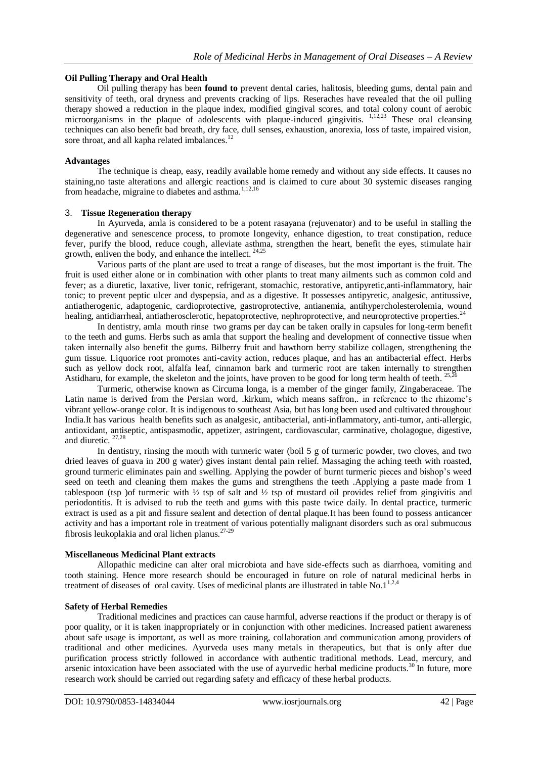## **Oil Pulling Therapy and Oral Health**

Oil pulling therapy has been **found to** prevent dental caries, halitosis, bleeding gums, dental pain and sensitivity of teeth, oral dryness and prevents cracking of lips. Reseraches have revealed that the oil pulling therapy showed a reduction in the plaque index, modified gingival scores, and total colony count of aerobic microorganisms in the plaque of adolescents with plaque-induced gingivitis. <sup>1,12,23</sup> These oral cleansing techniques can also benefit bad breath, dry face, dull senses, exhaustion, anorexia, loss of taste, impaired vision, sore throat, and all kapha related imbalances.<sup>12</sup>

### **Advantages**

The technique is cheap, easy, readily available home remedy and without any side effects. It causes no staining,no taste alterations and allergic reactions and is claimed to cure about 30 systemic diseases ranging from headache, migraine to diabetes and asthma.1,12,16

#### 3. **Tissue Regeneration therapy**

In Ayurveda, amla is considered to be a potent rasayana (rejuvenator) and to be useful in stalling the degenerative and senescence process, to promote longevity, enhance digestion, to treat constipation, reduce fever, purify the blood, reduce cough, alleviate asthma, strengthen the heart, benefit the eyes, stimulate hair growth, enliven the body, and enhance the intellect. 24,25

Various parts of the plant are used to treat a range of diseases, but the most important is the fruit. The fruit is used either alone or in combination with other plants to treat many ailments such as common cold and fever; as a diuretic, laxative, liver tonic, refrigerant, stomachic, restorative, antipyretic,anti-inflammatory, hair tonic; to prevent peptic ulcer and dyspepsia, and as a digestive. It possesses antipyretic, analgesic, antitussive, antiatherogenic, adaptogenic, cardioprotective, gastroprotective, antianemia, antihypercholesterolemia, wound healing, antidiarrheal, antiatherosclerotic, hepatoprotective, nephroprotective, and neuroprotective properties.<sup>24</sup>

In dentistry, amla mouth rinse two grams per day can be taken orally in capsules for long-term benefit to the teeth and gums. Herbs such as amla that support the healing and development of connective tissue when taken internally also benefit the gums. Bilberry fruit and hawthorn berry stabilize collagen, strengthening the gum tissue. Liquorice root promotes anti-cavity action, reduces plaque, and has an antibacterial effect. Herbs such as yellow dock root, alfalfa leaf, cinnamon bark and turmeric root are taken internally to strengthen Astidharu, for example, the skeleton and the joints, have proven to be good for long term health of teeth. <sup>25,26</sup>

Turmeric, otherwise known as Circuma longa, is a member of the ginger family, Zingaberaceae. The Latin name is derived from the Persian word, .kirkum, which means saffron, in reference to the rhizome's vibrant yellow-orange color. It is indigenous to southeast Asia, but has long been used and cultivated throughout India.It has various health benefits such as analgesic, antibacterial, anti-inflammatory, anti-tumor, anti-allergic, antioxidant, antiseptic, antispasmodic, appetizer, astringent, cardiovascular, carminative, cholagogue, digestive, and diuretic. 27,28

In dentistry, rinsing the mouth with turmeric water (boil 5 g of turmeric powder, two cloves, and two dried leaves of guava in 200 g water) gives instant dental pain relief. Massaging the aching teeth with roasted, ground turmeric eliminates pain and swelling. Applying the powder of burnt turmeric pieces and bishop"s weed seed on teeth and cleaning them makes the gums and strengthens the teeth .Applying a paste made from 1 tablespoon (tsp) of turmeric with  $\frac{1}{2}$  tsp of salt and  $\frac{1}{2}$  tsp of mustard oil provides relief from gingivitis and periodontitis. It is advised to rub the teeth and gums with this paste twice daily. In dental practice, turmeric extract is used as a pit and fissure sealent and detection of dental plaque.It has been found to possess anticancer activity and has a important role in treatment of various potentially malignant disorders such as oral submucous fibrosis leukoplakia and oral lichen planus. $27-29$ 

#### **Miscellaneous Medicinal Plant extracts**

Allopathic medicine can alter oral microbiota and have side-effects such as diarrhoea, vomiting and tooth staining. Hence more research should be encouraged in future on role of natural medicinal herbs in treatment of diseases of oral cavity. Uses of medicinal plants are illustrated in table No.1<sup>1,2,4</sup>

## **Safety of Herbal Remedies**

Traditional medicines and practices can cause harmful, adverse reactions if the product or therapy is of poor quality, or it is taken inappropriately or in conjunction with other medicines. Increased patient awareness about safe usage is important, as well as more training, collaboration and communication among providers of traditional and other medicines. Ayurveda uses many metals in therapeutics, but that is only after due purification process strictly followed in accordance with authentic traditional methods. Lead, mercury, and arsenic intoxication have been associated with the use of ayurvedic herbal medicine products.<sup>30</sup> In future, more research work should be carried out regarding safety and efficacy of these herbal products.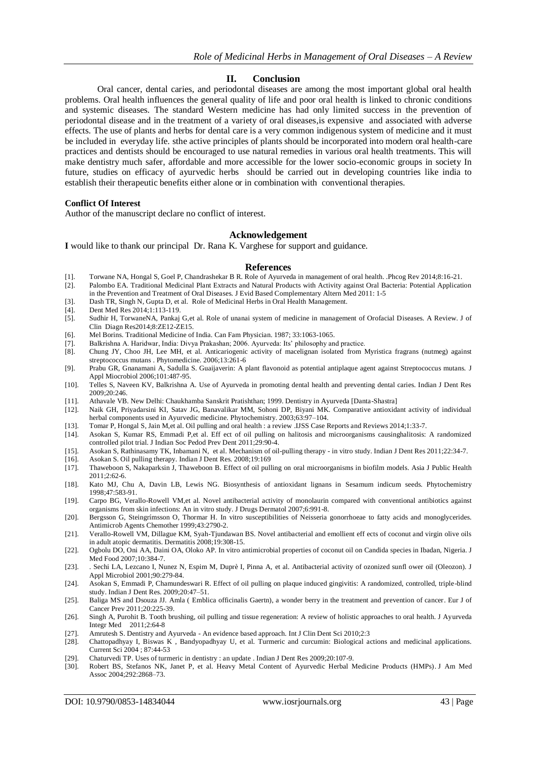## **II. Conclusion**

Oral cancer, dental caries, and periodontal diseases are among the most important global oral health problems. Oral health influences the general quality of life and poor oral health is linked to chronic conditions and systemic diseases. The standard Western medicine has had only limited success in the prevention of periodontal disease and in the treatment of a variety of oral diseases,is expensive and associated with adverse effects. The use of plants and herbs for dental care is a very common indigenous system of medicine and it must be included in everyday life. sthe active principles of plants should be incorporated into modern oral health-care practices and dentists should be encouraged to use natural remedies in various oral health treatments. This will make dentistry much safer, affordable and more accessible for the lower socio-economic groups in society In future, studies on efficacy of ayurvedic herbs should be carried out in developing countries like india to establish their therapeutic benefits either alone or in combination with conventional therapies.

#### **Conflict Of Interest**

Author of the manuscript declare no conflict of interest.

#### **Acknowledgement**

**I** would like to thank our principal Dr. Rana K. Varghese for support and guidance.

#### **References**

- [1]. Torwane NA, Hongal S, Goel P, Chandrashekar B R. Role of Ayurveda in management of oral health. .Phcog Rev 2014;8:16-21.
- [2]. Palombo EA. Traditional Medicinal Plant Extracts and Natural Products with Activity against Oral Bacteria: Potential Application in the Prevention and Treatment of Oral Diseases. J Evid Based Complementary Altern Med 2011: 1-5
- [3]. Dash TR, Singh N, Gupta D, et al. Role of Medicinal Herbs in Oral Health Management.
- [4]. Dent Med Res 2014;1:113-119.<br>[5]. Sudhir H, TorwaneNA, Pankaj
- Sudhir H, TorwaneNA, Pankaj G,et al. Role of unanai system of medicine in management of Orofacial Diseases. A Review. J of Clin Diagn Res2014;8:ZE12-ZE15.
- [6]. Mel Borins. Traditional Medicine of India. Can Fam Physician. 1987; 33:1063-1065.
- [7]. Balkrishna A. Haridwar, India: Divya Prakashan; 2006. Ayurveda: Its" philosophy and practice.
- [8]. Chung JY, Choo JH, Lee MH, et al. Anticariogenic activity of macelignan isolated from Myristica fragrans (nutmeg) against streptococcus mutans . Phytomedicine. 2006;13:261-6
- [9]. Prabu GR, Gnanamani A, Sadulla S. Guaijaverin: A plant flavonoid as potential antiplaque agent against Streptococcus mutans. J Appl Miocrobiol 2006;101:487-95.
- [10]. Telles S, Naveen KV, Balkrishna A. Use of Ayurveda in promoting dental health and preventing dental caries. Indian J Dent Res 2009;20:246.
- [11]. Athavale VB. New Delhi: Chaukhamba Sanskrit Pratishthan; 1999. Dentistry in Ayurveda [Danta-Shastra]
- [12]. Naik GH, Priyadarsini KI, Satav JG, Banavalikar MM, Sohoni DP, Biyani MK. Comparative antioxidant activity of individual herbal components used in Ayurvedic medicine. Phytochemistry. 2003;63:97–104.
- [13]. Tomar P, Hongal S, Jain M,et al. Oil pulling and oral health : a review .IJSS Case Reports and Reviews 2014;1:33-7.
- [14]. Asokan S, Kumar RS, Emmadi P,et al. Eff ect of oil pulling on halitosis and microorganisms causinghalitosis: A randomized controlled pilot trial. J Indian Soc Pedod Prev Dent 2011;29:90-4.
- [15]. Asokan S, Rathinasamy TK, Inbamani N, et al. Mechanism of oil-pulling therapy in vitro study. Indian J Dent Res 2011;22:34-7.
- [16]. Asokan S. Oil pulling therapy. Indian J Dent Res. 2008;19:169
- [17]. Thaweboon S, Nakaparksin J, Thaweboon B. Effect of oil pulling on oral microorganisms in biofilm models. Asia J Public Health 2011;2:62-6.
- [18]. Kato MJ, Chu A, Davin LB, Lewis NG. Biosynthesis of antioxidant lignans in Sesamum indicum seeds. Phytochemistry 1998;47:583-91.
- [19]. Carpo BG, Verallo-Rowell VM,et al. Novel antibacterial activity of monolaurin compared with conventional antibiotics against organisms from skin infections: An in vitro study. J Drugs Dermatol 2007;6:991-8.
- [20]. Bergsson G, Steingrímsson O, Thormar H. In vitro susceptibilities of Neisseria gonorrhoeae to fatty acids and monoglycerides. Antimicrob Agents Chemother 1999;43:2790-2.
- [21]. Verallo-Rowell VM, Dillague KM, Syah-Tjundawan BS. Novel antibacterial and emollient eff ects of coconut and virgin olive oils in adult atopic dermatitis. Dermatitis 2008;19:308-15.
- [22]. Ogbolu DO, Oni AA, Daini OA, Oloko AP. In vitro antimicrobial properties of coconut oil on Candida species in Ibadan, Nigeria. J Med Food 2007;10:384-7.
- [23]. . Sechi LA, Lezcano I, Nunez N, Espim M, Duprè I, Pinna A, et al. Antibacterial activity of ozonized sunfl ower oil (Oleozon). J Appl Microbiol 2001;90:279-84.
- [24]. Asokan S, Emmadi P, Chamundeswari R. Effect of oil pulling on plaque induced gingivitis: A randomized, controlled, triple-blind study. Indian J Dent Res. 2009;20:47–51.
- [25]. Baliga MS and Dsouza JJ. Amla ( Emblica officinalis Gaertn), a wonder berry in the treatment and prevention of cancer. Eur J of Cancer Prev 2011;20:225-39.
- [26]. Singh A, Purohit B. Tooth brushing, oil pulling and tissue regeneration: A review of holistic approaches to oral health. J Ayurveda Integr Med 2011;2:64-8
- [27]. Amrutesh S. Dentistry and Ayurveda An evidence based approach. Int J Clin Dent Sci 2010;2:3
- [28]. Chattopadhyay I, Biswas K , Bandyopadhyay U, et al. Turmeric and curcumin: Biological actions and medicinal applications. Current Sci 2004 ; 87:44-53
- [29]. Chaturvedi TP. Uses of turmeric in dentistry : an update . Indian J Dent Res 2009;20:107-9.
- [30]. Robert BS, Stefanos NK, Janet P, et al. Heavy Metal Content of Ayurvedic Herbal Medicine Products (HMPs). J Am Med Assoc 2004;292:2868–73.